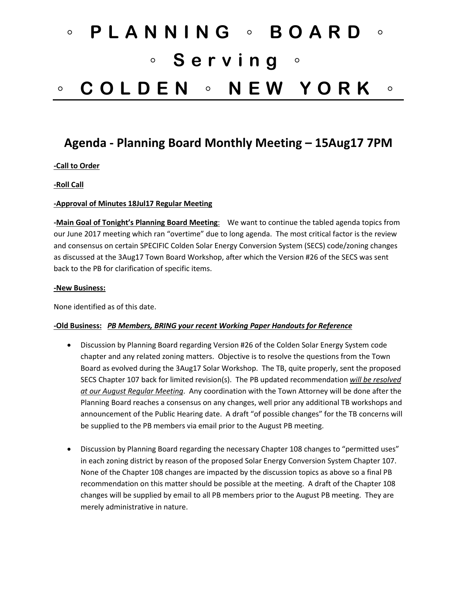# ◦ **PLANNING** ◦ **BOARD** ◦ ◦ **Serving** ◦ ◦ **COLDEN** ◦ **NEW YORK** ◦

## **Agenda - Planning Board Monthly Meeting – 15Aug17 7PM**

#### **-Call to Order**

#### **-Roll Call**

#### **-Approval of Minutes 18Jul17 Regular Meeting**

**-Main Goal of Tonight's Planning Board Meeting**: We want to continue the tabled agenda topics from our June 2017 meeting which ran "overtime" due to long agenda. The most critical factor is the review and consensus on certain SPECIFIC Colden Solar Energy Conversion System (SECS) code/zoning changes as discussed at the 3Aug17 Town Board Workshop, after which the Version #26 of the SECS was sent back to the PB for clarification of specific items.

#### **-New Business:**

None identified as of this date.

#### **-Old Business:** *PB Members, BRING your recent Working Paper Handouts for Reference*

- Discussion by Planning Board regarding Version #26 of the Colden Solar Energy System code chapter and any related zoning matters. Objective is to resolve the questions from the Town Board as evolved during the 3Aug17 Solar Workshop. The TB, quite properly, sent the proposed SECS Chapter 107 back for limited revision(s). The PB updated recommendation *will be resolved at our August Regular Meeting*. Any coordination with the Town Attorney will be done after the Planning Board reaches a consensus on any changes, well prior any additional TB workshops and announcement of the Public Hearing date. A draft "of possible changes" for the TB concerns will be supplied to the PB members via email prior to the August PB meeting.
- Discussion by Planning Board regarding the necessary Chapter 108 changes to "permitted uses" in each zoning district by reason of the proposed Solar Energy Conversion System Chapter 107. None of the Chapter 108 changes are impacted by the discussion topics as above so a final PB recommendation on this matter should be possible at the meeting. A draft of the Chapter 108 changes will be supplied by email to all PB members prior to the August PB meeting. They are merely administrative in nature.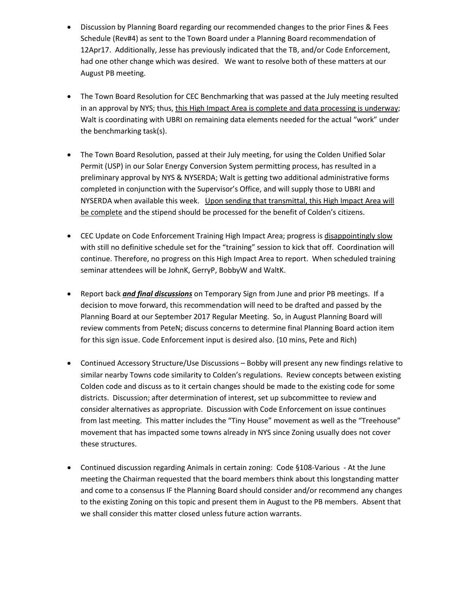- Discussion by Planning Board regarding our recommended changes to the prior Fines & Fees Schedule (Rev#4) as sent to the Town Board under a Planning Board recommendation of 12Apr17. Additionally, Jesse has previously indicated that the TB, and/or Code Enforcement, had one other change which was desired. We want to resolve both of these matters at our August PB meeting.
- The Town Board Resolution for CEC Benchmarking that was passed at the July meeting resulted in an approval by NYS; thus, this High Impact Area is complete and data processing is underway; Walt is coordinating with UBRI on remaining data elements needed for the actual "work" under the benchmarking task(s).
- The Town Board Resolution, passed at their July meeting, for using the Colden Unified Solar Permit (USP) in our Solar Energy Conversion System permitting process, has resulted in a preliminary approval by NYS & NYSERDA; Walt is getting two additional administrative forms completed in conjunction with the Supervisor's Office, and will supply those to UBRI and NYSERDA when available this week. Upon sending that transmittal, this High Impact Area will be complete and the stipend should be processed for the benefit of Colden's citizens.
- CEC Update on Code Enforcement Training High Impact Area; progress is disappointingly slow with still no definitive schedule set for the "training" session to kick that off. Coordination will continue. Therefore, no progress on this High Impact Area to report. When scheduled training seminar attendees will be JohnK, GerryP, BobbyW and WaltK.
- Report back *and final discussions* on Temporary Sign from June and prior PB meetings. If a decision to move forward, this recommendation will need to be drafted and passed by the Planning Board at our September 2017 Regular Meeting. So, in August Planning Board will review comments from PeteN; discuss concerns to determine final Planning Board action item for this sign issue. Code Enforcement input is desired also. {10 mins, Pete and Rich)
- Continued Accessory Structure/Use Discussions Bobby will present any new findings relative to similar nearby Towns code similarity to Colden's regulations. Review concepts between existing Colden code and discuss as to it certain changes should be made to the existing code for some districts. Discussion; after determination of interest, set up subcommittee to review and consider alternatives as appropriate. Discussion with Code Enforcement on issue continues from last meeting. This matter includes the "Tiny House" movement as well as the "Treehouse" movement that has impacted some towns already in NYS since Zoning usually does not cover these structures.
- Continued discussion regarding Animals in certain zoning: Code §108-Various At the June meeting the Chairman requested that the board members think about this longstanding matter and come to a consensus IF the Planning Board should consider and/or recommend any changes to the existing Zoning on this topic and present them in August to the PB members. Absent that we shall consider this matter closed unless future action warrants.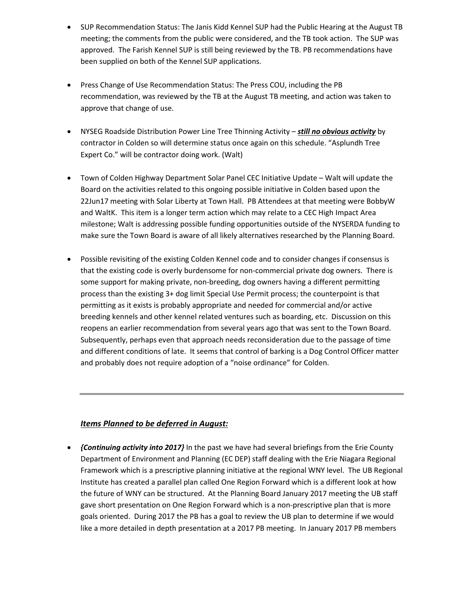- SUP Recommendation Status: The Janis Kidd Kennel SUP had the Public Hearing at the August TB meeting; the comments from the public were considered, and the TB took action. The SUP was approved. The Farish Kennel SUP is still being reviewed by the TB. PB recommendations have been supplied on both of the Kennel SUP applications.
- Press Change of Use Recommendation Status: The Press COU, including the PB recommendation, was reviewed by the TB at the August TB meeting, and action was taken to approve that change of use.
- NYSEG Roadside Distribution Power Line Tree Thinning Activity *still no obvious activity* by contractor in Colden so will determine status once again on this schedule. "Asplundh Tree Expert Co." will be contractor doing work. (Walt)
- Town of Colden Highway Department Solar Panel CEC Initiative Update Walt will update the Board on the activities related to this ongoing possible initiative in Colden based upon the 22Jun17 meeting with Solar Liberty at Town Hall. PB Attendees at that meeting were BobbyW and WaltK. This item is a longer term action which may relate to a CEC High Impact Area milestone; Walt is addressing possible funding opportunities outside of the NYSERDA funding to make sure the Town Board is aware of all likely alternatives researched by the Planning Board.
- Possible revisiting of the existing Colden Kennel code and to consider changes if consensus is that the existing code is overly burdensome for non-commercial private dog owners. There is some support for making private, non-breeding, dog owners having a different permitting process than the existing 3+ dog limit Special Use Permit process; the counterpoint is that permitting as it exists is probably appropriate and needed for commercial and/or active breeding kennels and other kennel related ventures such as boarding, etc. Discussion on this reopens an earlier recommendation from several years ago that was sent to the Town Board. Subsequently, perhaps even that approach needs reconsideration due to the passage of time and different conditions of late. It seems that control of barking is a Dog Control Officer matter and probably does not require adoption of a "noise ordinance" for Colden.

### *Items Planned to be deferred in August:*

• *{Continuing activity into 2017}* In the past we have had several briefings from the Erie County Department of Environment and Planning (EC DEP) staff dealing with the Erie Niagara Regional Framework which is a prescriptive planning initiative at the regional WNY level. The UB Regional Institute has created a parallel plan called One Region Forward which is a different look at how the future of WNY can be structured. At the Planning Board January 2017 meeting the UB staff gave short presentation on One Region Forward which is a non-prescriptive plan that is more goals oriented. During 2017 the PB has a goal to review the UB plan to determine if we would like a more detailed in depth presentation at a 2017 PB meeting. In January 2017 PB members